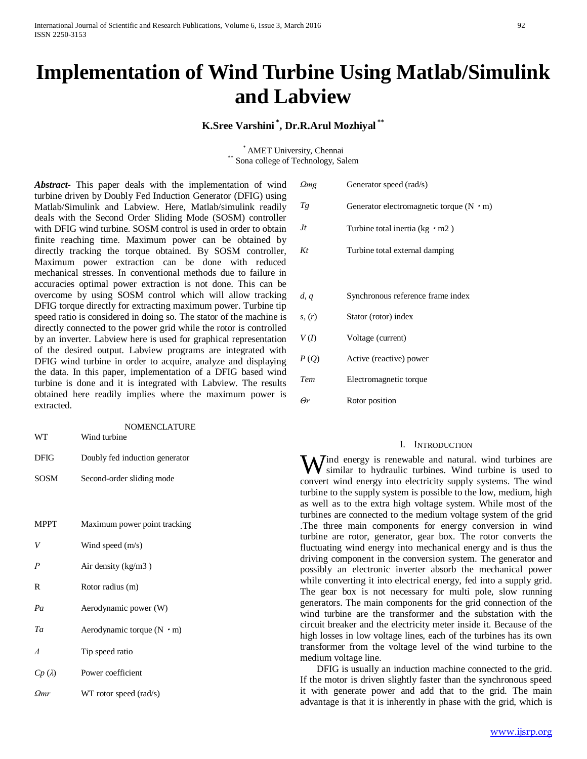# **Implementation of Wind Turbine Using Matlab/Simulink and Labview**

# **K.Sree Varshini \* , Dr.R.Arul Mozhiyal \*\***

\* AMET University, Chennai \*\* Sona college of Technology, Salem

*Abstract***-** This paper deals with the implementation of wind turbine driven by Doubly Fed Induction Generator (DFIG) using Matlab/Simulink and Labview. Here, Matlab/simulink readily deals with the Second Order Sliding Mode (SOSM) controller with DFIG wind turbine. SOSM control is used in order to obtain finite reaching time. Maximum power can be obtained by directly tracking the torque obtained. By SOSM controller, Maximum power extraction can be done with reduced mechanical stresses. In conventional methods due to failure in accuracies optimal power extraction is not done. This can be overcome by using SOSM control which will allow tracking DFIG torque directly for extracting maximum power. Turbine tip speed ratio is considered in doing so. The stator of the machine is directly connected to the power grid while the rotor is controlled by an inverter. Labview here is used for graphical representation of the desired output. Labview programs are integrated with DFIG wind turbine in order to acquire, analyze and displaying the data. In this paper, implementation of a DFIG based wind turbine is done and it is integrated with Labview. The results obtained here readily implies where the maximum power is extracted.

| WT               | <b>NOMENCLATURE</b><br>Wind turbine |  |  |
|------------------|-------------------------------------|--|--|
| <b>DFIG</b>      | Doubly fed induction generator      |  |  |
| <b>SOSM</b>      | Second-order sliding mode           |  |  |
|                  |                                     |  |  |
| <b>MPPT</b>      | Maximum power point tracking        |  |  |
| V                | Wind speed $(m/s)$                  |  |  |
| $\boldsymbol{P}$ | Air density $(kg/m3)$               |  |  |
| R                | Rotor radius (m)                    |  |  |
| Pa               | Aerodynamic power (W)               |  |  |
| Ta               | Aerodynamic torque $(N \cdot m)$    |  |  |
| $\Lambda$        | Tip speed ratio                     |  |  |
| $Cp(\lambda)$    | Power coefficient                   |  |  |
| Omr              | WT rotor speed (rad/s)              |  |  |

| Qmg    | Generator speed (rad/s)                        |  |  |
|--------|------------------------------------------------|--|--|
| Tg     | Generator electromagnetic torque $(N \cdot m)$ |  |  |
| Jt     | Turbine total inertia ( $kg \cdot m2$ )        |  |  |
| Kt     | Turbine total external damping                 |  |  |
|        |                                                |  |  |
| d, q   | Synchronous reference frame index              |  |  |
| s, (r) | Stator (rotor) index                           |  |  |
| V(I)   | Voltage (current)                              |  |  |
| P(Q)   | Active (reactive) power                        |  |  |
| Tem    | Electromagnetic torque                         |  |  |
| Θr     | Rotor position                                 |  |  |

#### I. INTRODUCTION

W similar to hydraulic turbines. Wind turbine is used to the similar to hydraulic turbines. Wind turbine is used to similar to hydraulic turbines. Wind turbine is used to convert wind energy into electricity supply systems. The wind turbine to the supply system is possible to the low, medium, high as well as to the extra high voltage system. While most of the turbines are connected to the medium voltage system of the grid .The three main components for energy conversion in wind turbine are rotor, generator, gear box. The rotor converts the fluctuating wind energy into mechanical energy and is thus the driving component in the conversion system. The generator and possibly an electronic inverter absorb the mechanical power while converting it into electrical energy, fed into a supply grid. The gear box is not necessary for multi pole, slow running generators. The main components for the grid connection of the wind turbine are the transformer and the substation with the circuit breaker and the electricity meter inside it. Because of the high losses in low voltage lines, each of the turbines has its own transformer from the voltage level of the wind turbine to the medium voltage line.

 DFIG is usually an induction machine connected to the grid. If the motor is driven slightly faster than the synchronous speed it with generate power and add that to the grid. The main advantage is that it is inherently in phase with the grid, which is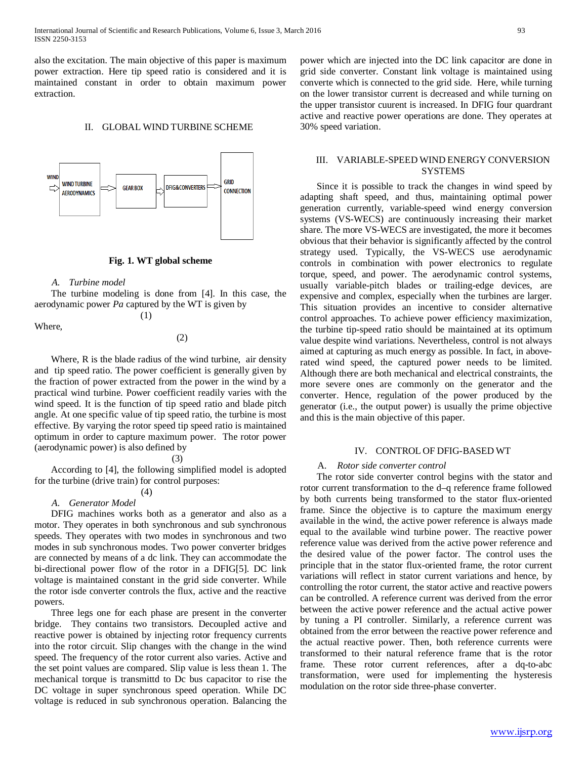also the excitation. The main objective of this paper is maximum power extraction. Here tip speed ratio is considered and it is maintained constant in order to obtain maximum power extraction.

#### II. GLOBAL WIND TURBINE SCHEME



#### **Fig. 1. WT global scheme**

#### *A. Turbine model*

 The turbine modeling is done from [4]. In this case, the aerodynamic power *Pa* captured by the WT is given by

(1)

Where,

(2)

 Where, R is the blade radius of the wind turbine, air density and tip speed ratio. The power coefficient is generally given by the fraction of power extracted from the power in the wind by a practical wind turbine. Power coefficient readily varies with the wind speed. It is the function of tip speed ratio and blade pitch angle. At one specific value of tip speed ratio, the turbine is most effective. By varying the rotor speed tip speed ratio is maintained optimum in order to capture maximum power. The rotor power (aerodynamic power) is also defined by

(3)

 According to [4], the following simplified model is adopted for the turbine (drive train) for control purposes:

# (4)

# *A. Generator Model*

 DFIG machines works both as a generator and also as a motor. They operates in both synchronous and sub synchronous speeds. They operates with two modes in synchronous and two modes in sub synchronous modes. Two power converter bridges are connected by means of a dc link. They can accommodate the bi-directional power flow of the rotor in a DFIG[5]. DC link voltage is maintained constant in the grid side converter. While the rotor isde converter controls the flux, active and the reactive powers.

 Three legs one for each phase are present in the converter bridge. They contains two transistors. Decoupled active and reactive power is obtained by injecting rotor frequency currents into the rotor circuit. Slip changes with the change in the wind speed. The frequency of the rotor current also varies. Active and the set point values are compared. Slip value is less thean 1. The mechanical torque is transmittd to Dc bus capacitor to rise the DC voltage in super synchronous speed operation. While DC voltage is reduced in sub synchronous operation. Balancing the

power which are injected into the DC link capacitor are done in grid side converter. Constant link voltage is maintained using converte which is connected to the grid side. Here, while turning on the lower transistor current is decreased and while turning on the upper transistor cuurent is increased. In DFIG four quardrant active and reactive power operations are done. They operates at 30% speed variation.

### III. VARIABLE-SPEED WIND ENERGY CONVERSION SYSTEMS

 Since it is possible to track the changes in wind speed by adapting shaft speed, and thus, maintaining optimal power generation currently, variable-speed wind energy conversion systems (VS-WECS) are continuously increasing their market share. The more VS-WECS are investigated, the more it becomes obvious that their behavior is significantly affected by the control strategy used. Typically, the VS-WECS use aerodynamic controls in combination with power electronics to regulate torque, speed, and power. The aerodynamic control systems, usually variable-pitch blades or trailing-edge devices, are expensive and complex, especially when the turbines are larger. This situation provides an incentive to consider alternative control approaches. To achieve power efficiency maximization, the turbine tip-speed ratio should be maintained at its optimum value despite wind variations. Nevertheless, control is not always aimed at capturing as much energy as possible. In fact, in aboverated wind speed, the captured power needs to be limited. Although there are both mechanical and electrical constraints, the more severe ones are commonly on the generator and the converter. Hence, regulation of the power produced by the generator (i.e., the output power) is usually the prime objective and this is the main objective of this paper.

#### IV. CONTROL OF DFIG-BASED WT

#### A. *Rotor side converter control*

 The rotor side converter control begins with the stator and rotor current transformation to the d–q reference frame followed by both currents being transformed to the stator flux-oriented frame. Since the objective is to capture the maximum energy available in the wind, the active power reference is always made equal to the available wind turbine power. The reactive power reference value was derived from the active power reference and the desired value of the power factor. The control uses the principle that in the stator flux-oriented frame, the rotor current variations will reflect in stator current variations and hence, by controlling the rotor current, the stator active and reactive powers can be controlled. A reference current was derived from the error between the active power reference and the actual active power by tuning a PI controller. Similarly, a reference current was obtained from the error between the reactive power reference and the actual reactive power. Then, both reference currents were transformed to their natural reference frame that is the rotor frame. These rotor current references, after a dq-to-abc transformation, were used for implementing the hysteresis modulation on the rotor side three-phase converter.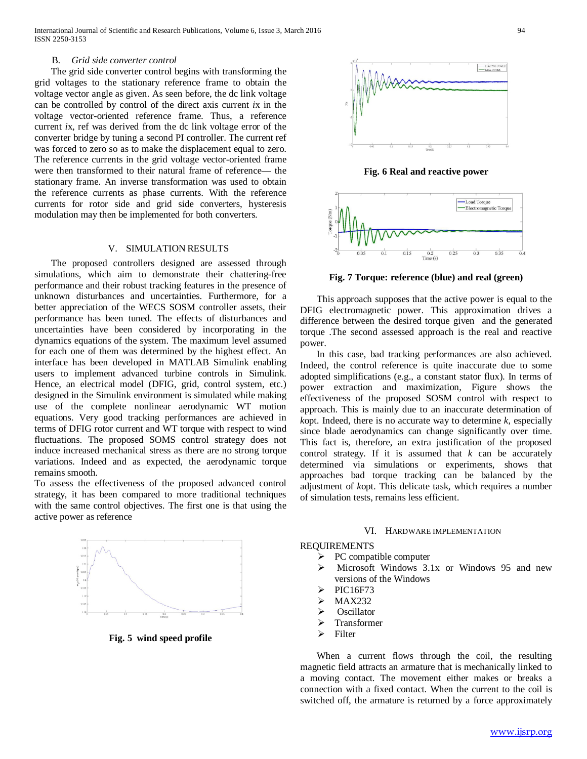## B. *Grid side converter control*

 The grid side converter control begins with transforming the grid voltages to the stationary reference frame to obtain the voltage vector angle as given. As seen before, the dc link voltage can be controlled by control of the direct axis current *i*x in the voltage vector-oriented reference frame. Thus, a reference current *i*x, ref was derived from the dc link voltage error of the converter bridge by tuning a second PI controller. The current ref was forced to zero so as to make the displacement equal to zero. The reference currents in the grid voltage vector-oriented frame were then transformed to their natural frame of reference— the stationary frame. An inverse transformation was used to obtain the reference currents as phase currents. With the reference currents for rotor side and grid side converters, hysteresis modulation may then be implemented for both converters.

## V. SIMULATION RESULTS

 The proposed controllers designed are assessed through simulations, which aim to demonstrate their chattering-free performance and their robust tracking features in the presence of unknown disturbances and uncertainties. Furthermore, for a better appreciation of the WECS SOSM controller assets, their performance has been tuned. The effects of disturbances and uncertainties have been considered by incorporating in the dynamics equations of the system. The maximum level assumed for each one of them was determined by the highest effect. An interface has been developed in MATLAB Simulink enabling users to implement advanced turbine controls in Simulink. Hence, an electrical model (DFIG, grid, control system, etc.) designed in the Simulink environment is simulated while making use of the complete nonlinear aerodynamic WT motion equations. Very good tracking performances are achieved in terms of DFIG rotor current and WT torque with respect to wind fluctuations. The proposed SOMS control strategy does not induce increased mechanical stress as there are no strong torque variations. Indeed and as expected, the aerodynamic torque remains smooth.

To assess the effectiveness of the proposed advanced control strategy, it has been compared to more traditional techniques with the same control objectives. The first one is that using the active power as reference



**Fig. 5 wind speed profile**



**Fig. 6 Real and reactive power**



**Fig. 7 Torque: reference (blue) and real (green)**

 This approach supposes that the active power is equal to the DFIG electromagnetic power. This approximation drives a difference between the desired torque given and the generated torque .The second assessed approach is the real and reactive power.

 In this case, bad tracking performances are also achieved. Indeed, the control reference is quite inaccurate due to some adopted simplifications (e.g., a constant stator flux). In terms of power extraction and maximization, Figure shows the effectiveness of the proposed SOSM control with respect to approach. This is mainly due to an inaccurate determination of *k*opt. Indeed, there is no accurate way to determine *k*, especially since blade aerodynamics can change significantly over time. This fact is, therefore, an extra justification of the proposed control strategy. If it is assumed that  $k$  can be accurately determined via simulations or experiments, shows that approaches bad torque tracking can be balanced by the adjustment of *k*opt. This delicate task, which requires a number of simulation tests, remains less efficient.

#### VI. HARDWARE IMPLEMENTATION

#### REQUIREMENTS

- PC compatible computer
- Microsoft Windows 3.1x or Windows 95 and new versions of the Windows
- PIC16F73
- MAX232
- $\triangleright$  Oscillator
- $\triangleright$  Transformer
- $\triangleright$  Filter

 When a current flows through the coil, the resulting magnetic field attracts an armature that is mechanically linked to a moving contact. The movement either makes or breaks a connection with a fixed contact. When the current to the coil is switched off, the armature is returned by a force approximately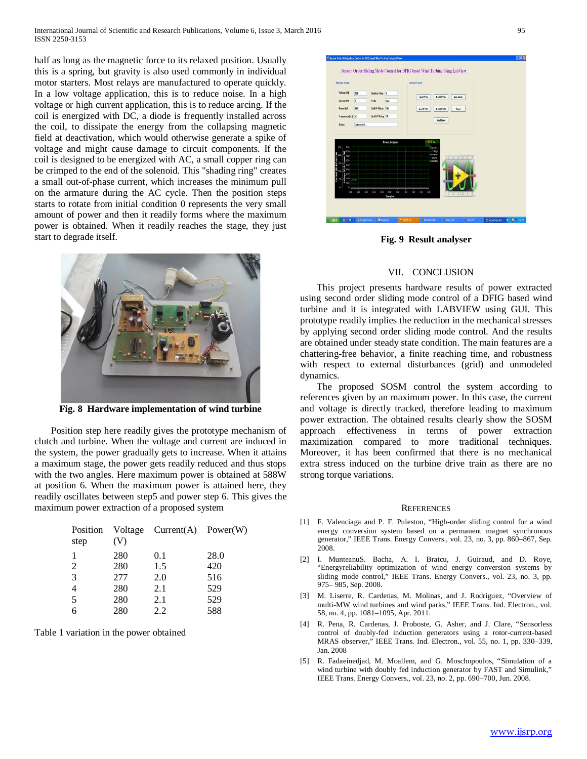half as long as the magnetic force to its relaxed position. Usually this is a spring, but gravity is also used commonly in individual motor starters. Most relays are manufactured to operate quickly. In a low voltage application, this is to reduce noise. In a high voltage or high current application, this is to reduce arcing. If the coil is energized with DC, a diode is frequently installed across the coil, to dissipate the energy from the collapsing magnetic field at deactivation, which would otherwise generate a spike of voltage and might cause damage to circuit components. If the coil is designed to be energized with AC, a small copper ring can be crimped to the end of the solenoid. This "shading ring" creates a small out-of-phase current, which increases the minimum pull on the armature during the AC cycle. Then the position steps starts to rotate from initial condition 0 represents the very small amount of power and then it readily forms where the maximum power is obtained. When it readily reaches the stage, they just start to degrade itself.



**Fig. 8 Hardware implementation of wind turbine**

 Position step here readily gives the prototype mechanism of clutch and turbine. When the voltage and current are induced in the system, the power gradually gets to increase. When it attains a maximum stage, the power gets readily reduced and thus stops with the two angles. Here maximum power is obtained at 588W at position 6. When the maximum power is attained here, they readily oscillates between step5 and power step 6. This gives the maximum power extraction of a proposed system

| step           | (V) | Position Voltage Current(A) Power(W) |      |
|----------------|-----|--------------------------------------|------|
| 1              | 280 | 0.1                                  | 28.0 |
| 2              | 280 | 1.5                                  | 420  |
| 3              | 277 | 2.0                                  | 516  |
| $\overline{4}$ | 280 | 2.1                                  | 529  |
| $\overline{5}$ | 280 | 2.1                                  | 529  |
| 6              | 280 | 2.2                                  | 588  |

Table 1 variation in the power obtained



**Fig. 9 Result analyser**

#### VII. CONCLUSION

 This project presents hardware results of power extracted using second order sliding mode control of a DFIG based wind turbine and it is integrated with LABVIEW using GUI. This prototype readily implies the reduction in the mechanical stresses by applying second order sliding mode control. And the results are obtained under steady state condition. The main features are a chattering-free behavior, a finite reaching time, and robustness with respect to external disturbances (grid) and unmodeled dynamics.

 The proposed SOSM control the system according to references given by an maximum power. In this case, the current and voltage is directly tracked, therefore leading to maximum power extraction. The obtained results clearly show the SOSM approach effectiveness in terms of power extraction maximization compared to more traditional techniques. Moreover, it has been confirmed that there is no mechanical extra stress induced on the turbine drive train as there are no strong torque variations.

#### **REFERENCES**

- [1] F. Valenciaga and P. F. Puleston, "High-order sliding control for a wind energy conversion system based on a permanent magnet synchronous generator," IEEE Trans. Energy Convers., vol. 23, no. 3, pp. 860–867, Sep. 2008.
- [2] I. MunteanuS. Bacha, A. I. Bratcu, J. Guiraud, and D. Roye, "Energyreliability optimization of wind energy conversion systems by sliding mode control," IEEE Trans. Energy Convers., vol. 23, no. 3, pp. 975– 985, Sep. 2008.
- [3] M. Liserre, R. Cardenas, M. Molinas, and J. Rodriguez, "Overview of multi-MW wind turbines and wind parks," IEEE Trans. Ind. Electron., vol. 58, no. 4, pp. 1081–1095, Apr. 2011.
- [4] R. Pena, R. Cardenas, J. Proboste, G. Asher, and J. Clare, "Sensorless control of doubly-fed induction generators using a rotor-current-based MRAS observer," IEEE Trans. Ind. Electron., vol. 55, no. 1, pp. 330–339, Jan. 2008
- [5] R. Fadaeinedjad, M. Moallem, and G. Moschopoulos, "Simulation of a wind turbine with doubly fed induction generator by FAST and Simulink," IEEE Trans. Energy Convers., vol. 23, no. 2, pp. 690–700, Jun. 2008.